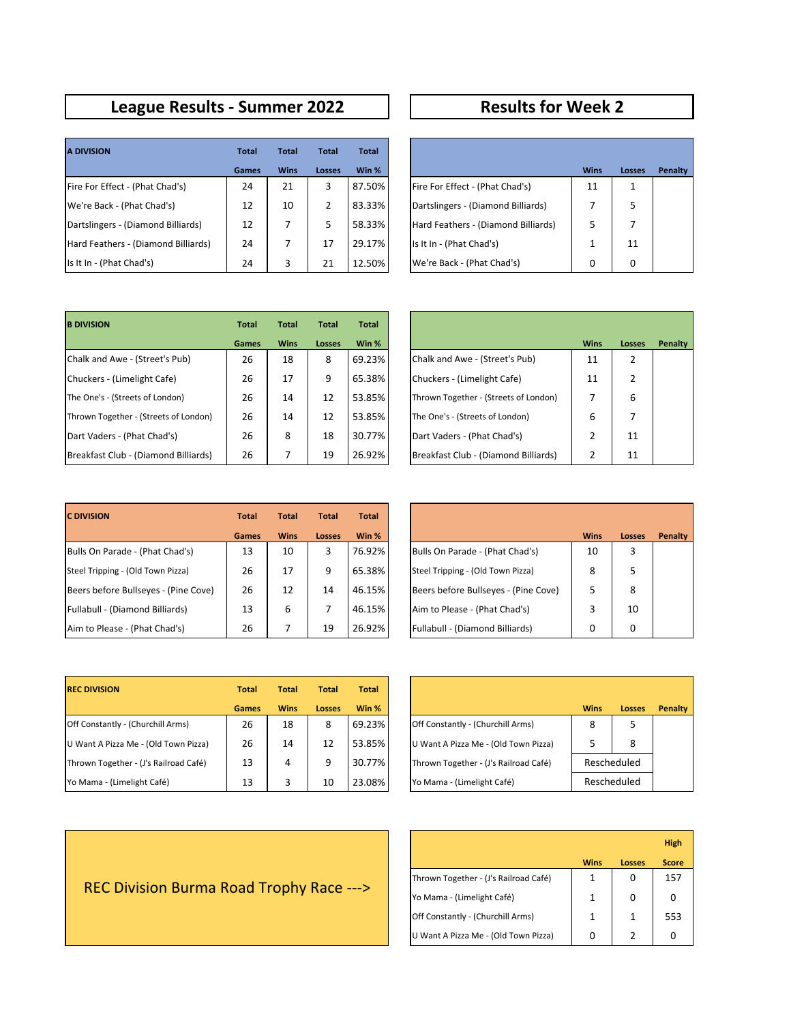## **League Results - Summer 2022 Results for Week 2**

| <b>A DIVISION</b>                   | <b>Total</b> | <b>Total</b> | <b>Total</b> | <b>Total</b> |                                     |             |              |
|-------------------------------------|--------------|--------------|--------------|--------------|-------------------------------------|-------------|--------------|
|                                     | Games        | <b>Wins</b>  | Losses       | Win %        |                                     | <b>Wins</b> | Loss         |
| Fire For Effect - (Phat Chad's)     | 24           | 21           | 3            | 87.50%       | Fire For Effect - (Phat Chad's)     | 11          | $\mathbf{1}$ |
| We're Back - (Phat Chad's)          | 12           | 10           | 2            | 83.33%       | Dartslingers - (Diamond Billiards)  |             | 5.           |
| Dartslingers - (Diamond Billiards)  | 12           |              | 5            | 58.33%       | Hard Feathers - (Diamond Billiards) | 5           | 7            |
| Hard Feathers - (Diamond Billiards) | 24           |              | 17           | 29.17%       | Is It In - (Phat Chad's)            |             | 11           |
| Is It In - (Phat Chad's)            | 24           | 3            | 21           | 12.50%       | We're Back - (Phat Chad's)          | 0           | $\Omega$     |

| <b>Total</b> | <b>Total</b> | <b>Total</b>  | <b>Total</b> |                                     |             |               |         |
|--------------|--------------|---------------|--------------|-------------------------------------|-------------|---------------|---------|
| Games        | <b>Wins</b>  | <b>Losses</b> | Win %        |                                     | <b>Wins</b> | <b>Losses</b> | Penalty |
| 24           | 21           | 3             | 87.50%       | Fire For Effect - (Phat Chad's)     | 11          |               |         |
| 12           | 10           | 2             | 83.33%       | Dartslingers - (Diamond Billiards)  |             | 5             |         |
| 12           | 7            | 5             | 58.33%       | Hard Feathers - (Diamond Billiards) | 5           |               |         |
| 24           | 7            | 17            | 29.17%       | Is It In - (Phat Chad's)            | 1           | 11            |         |
| 24           | 3            | 21            | 12.50%       | We're Back - (Phat Chad's)          | 0           | 0             |         |

| <b>B DIVISION</b>                     | <b>Total</b> | <b>Total</b> | <b>Total</b> | Total  |                                       |             |                |
|---------------------------------------|--------------|--------------|--------------|--------|---------------------------------------|-------------|----------------|
|                                       | Games        | <b>Wins</b>  | Losses       | Win %  |                                       | <b>Wins</b> | Loss           |
| Chalk and Awe - (Street's Pub)        | 26           | 18           | 8            | 69.23% | Chalk and Awe - (Street's Pub)        | 11          | $\overline{2}$ |
| Chuckers - (Limelight Cafe)           | 26           | 17           | 9            | 65.38% | Chuckers - (Limelight Cafe)           | 11          | 2              |
| The One's - (Streets of London)       | 26           | 14           | 12           | 53.85% | Thrown Together - (Streets of London) |             | 6              |
| Thrown Together - (Streets of London) | 26           | 14           | 12           | 53.85% | The One's - (Streets of London)       | 6           | 7              |
| Dart Vaders - (Phat Chad's)           | 26           | 8            | 18           | 30.77% | Dart Vaders - (Phat Chad's)           |             | 11             |
| Breakfast Club - (Diamond Billiards)  | 26           |              | 19           | 26.92% | Breakfast Club - (Diamond Billiards)  |             | 11             |

| <b>Total</b> | <b>Total</b> | <b>Total</b> | <b>Total</b> |                                       |             |                |                |
|--------------|--------------|--------------|--------------|---------------------------------------|-------------|----------------|----------------|
| Games        | <b>Wins</b>  | Losses       | Win %        |                                       | <b>Wins</b> | Losses         | <b>Penalty</b> |
| 26           | 18           | 8            | 69.23%       | Chalk and Awe - (Street's Pub)        | 11          | $\overline{2}$ |                |
| 26           | 17           | 9            | 65.38%       | Chuckers - (Limelight Cafe)           | 11          | $\overline{2}$ |                |
| 26           | 14           | 12           | 53.85%       | Thrown Together - (Streets of London) | 7           | 6              |                |
| 26           | 14           | 12           | 53.85%       | The One's - (Streets of London)       | 6           | 7              |                |
| 26           | 8            | 18           | 30.77%       | Dart Vaders - (Phat Chad's)           | 2           | 11             |                |
| 26           | 7            | 19           | 26.92%       | Breakfast Club - (Diamond Billiards)  | 2           | 11             |                |

| <b>C DIVISION</b>                    | <b>Total</b> | <b>Total</b> | <b>Total</b>  | <b>Total</b> |
|--------------------------------------|--------------|--------------|---------------|--------------|
|                                      | Games        | <b>Wins</b>  | <b>Losses</b> | Win %        |
| Bulls On Parade - (Phat Chad's)      | 13           | 10           | 3             | 76.92%       |
| Steel Tripping - (Old Town Pizza)    | 26           | 17           | 9             | 65.38%       |
| Beers before Bullseyes - (Pine Cove) | 26           | 12           | 14            | 46.15%       |
| Fullabull - (Diamond Billiards)      | 13           | 6            | 7             | 46.15%       |
| Aim to Please - (Phat Chad's)        | 26           |              | 19            | 26.92%       |

| <b>Total</b> | <b>Total</b> | <b>Total</b>  | <b>Total</b> |                                      |             |               |                |
|--------------|--------------|---------------|--------------|--------------------------------------|-------------|---------------|----------------|
| <b>Games</b> | <b>Wins</b>  | <b>Losses</b> | Win %        |                                      | <b>Wins</b> | <b>Losses</b> | <b>Penalty</b> |
| 13           | 10           | 3             | 76.92%       | Bulls On Parade - (Phat Chad's)      | 10          | 3             |                |
| 26           | 17           | 9             | 65.38%       | Steel Tripping - (Old Town Pizza)    | 8           | 5             |                |
| 26           | 12           | 14            | 46.15%       | Beers before Bullseyes - (Pine Cove) | 5           | 8             |                |
| 13           | 6            |               | 46.15%       | Aim to Please - (Phat Chad's)        | 3           | 10            |                |
| 26           |              | 19            | 26.92%       | Fullabull - (Diamond Billiards)      | 0           | 0             |                |

| <b>REC DIVISION</b>                   | <b>Total</b> | <b>Total</b> | <b>Total</b> | <b>Total</b> |                                       |             |      |
|---------------------------------------|--------------|--------------|--------------|--------------|---------------------------------------|-------------|------|
|                                       | <b>Games</b> | <b>Wins</b>  | Losses       | Win %        |                                       | <b>Wins</b> | Loss |
| Off Constantly - (Churchill Arms)     | 26           | 18           | 8            | 69.23%       | Off Constantly - (Churchill Arms)     | 8           | 5    |
| U Want A Pizza Me - (Old Town Pizza)  | 26           | 14           | 12           | 53.85%       | U Want A Pizza Me - (Old Town Pizza)  |             | 8    |
| Thrown Together - (J's Railroad Café) | 13           | 4            | 9            | 30.77%       | Thrown Together - (J's Railroad Café) | Reschedule  |      |
| Yo Mama - (Limelight Café)            | 13           |              | 10           | 23.08%       | Yo Mama - (Limelight Café)            | Reschedule  |      |

| <b>Total</b> | <b>Total</b> | <b>Total</b>  | <b>Total</b> |                                       |             |               |         |
|--------------|--------------|---------------|--------------|---------------------------------------|-------------|---------------|---------|
| <b>Games</b> | <b>Wins</b>  | <b>Losses</b> | Win %        |                                       | <b>Wins</b> | <b>Losses</b> | Penalty |
| 26           | 18           | 8             | 69.23%       | Off Constantly - (Churchill Arms)     | 8           | 5             |         |
| 26           | 14           | 12            | 53.85%       | U Want A Pizza Me - (Old Town Pizza)  | 5           | 8             |         |
| 13           | 4            | 9             | 30.77%       | Thrown Together - (J's Railroad Café) |             | Rescheduled   |         |
| 13           | 3            | 10            | 23.08%       | Yo Mama - (Limelight Café)            |             | Rescheduled   |         |

|                                       |             |               | <b>High</b>  |
|---------------------------------------|-------------|---------------|--------------|
|                                       | <b>Wins</b> | <b>Losses</b> | <b>Score</b> |
| Thrown Together - (J's Railroad Café) | 1           | 0             | 157          |
| Yo Mama - (Limelight Café)            | 1           | 0             | Ω            |
| Off Constantly - (Churchill Arms)     | 1           | 1             | 553          |
| U Want A Pizza Me - (Old Town Pizza)  | 0           |               |              |

## REC Division Burma Road Trophy Race --->